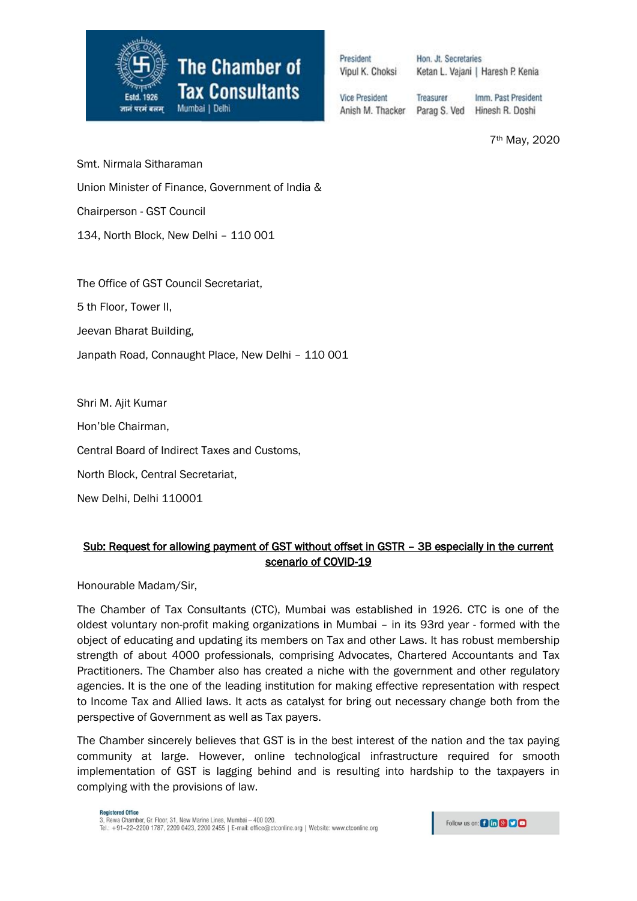

Procident Vipul K. Choksi

Hon. Jt. Secretaries Ketan L. Vajani | Haresh P. Kenia

**Vice President** Anish M. Thacker

Treasurer Imm. Past President Parag S. Ved Hinesh R. Doshi

7th May, 2020

Smt. Nirmala Sitharaman

Union Minister of Finance, Government of India &

Chairperson - GST Council

134, North Block, New Delhi – 110 001

The Office of GST Council Secretariat,

5 th Floor, Tower II,

Jeevan Bharat Building,

Janpath Road, Connaught Place, New Delhi – 110 001

Shri M. Ajit Kumar

Hon'ble Chairman,

Central Board of Indirect Taxes and Customs,

North Block, Central Secretariat,

New Delhi, Delhi 110001

## Sub: Request for allowing payment of GST without offset in GSTR – 3B especially in the current scenario of COVID-19

Honourable Madam/Sir,

The Chamber of Tax Consultants (CTC), Mumbai was established in 1926. CTC is one of the oldest voluntary non-profit making organizations in Mumbai – in its 93rd year - formed with the object of educating and updating its members on Tax and other Laws. It has robust membership strength of about 4000 professionals, comprising Advocates, Chartered Accountants and Tax Practitioners. The Chamber also has created a niche with the government and other regulatory agencies. It is the one of the leading institution for making effective representation with respect to Income Tax and Allied laws. It acts as catalyst for bring out necessary change both from the perspective of Government as well as Tax payers.

The Chamber sincerely believes that GST is in the best interest of the nation and the tax paying community at large. However, online technological infrastructure required for smooth implementation of GST is lagging behind and is resulting into hardship to the taxpayers in complying with the provisions of law.